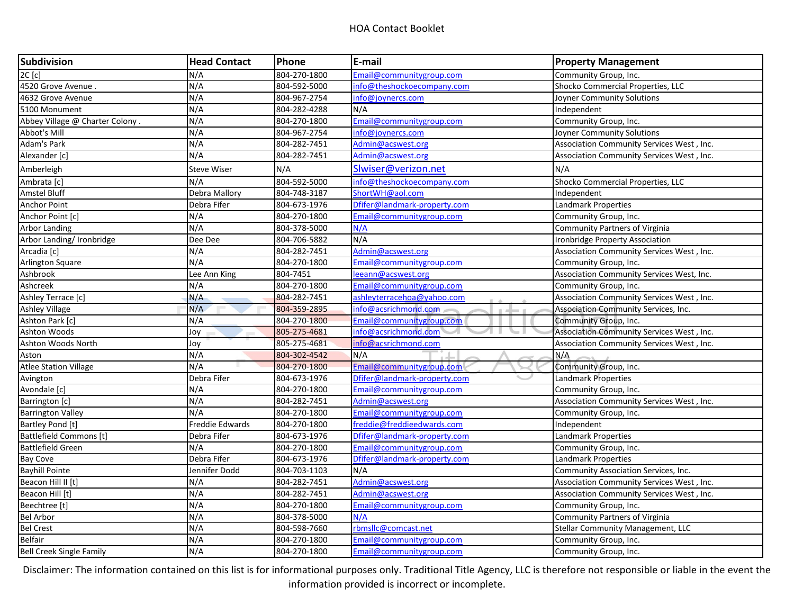| Subdivision                     | <b>Head Contact</b> | Phone        | E-mail                       | <b>Property Management</b>                |
|---------------------------------|---------------------|--------------|------------------------------|-------------------------------------------|
| 2C[c]                           | N/A                 | 804-270-1800 | Email@communitygroup.com     | Community Group, Inc.                     |
| 4520 Grove Avenue               | N/A                 | 804-592-5000 | info@theshockoecompany.com   | Shocko Commercial Properties, LLC         |
| 4632 Grove Avenue               | N/A                 | 804-967-2754 | info@joynercs.com            | Joyner Community Solutions                |
| 5100 Monument                   | N/A                 | 804-282-4288 | N/A                          | Independent                               |
| Abbey Village @ Charter Colony. | N/A                 | 804-270-1800 | Email@communitygroup.com     | Community Group, Inc.                     |
| Abbot's Mill                    | N/A                 | 804-967-2754 | info@joynercs.com            | Joyner Community Solutions                |
| Adam's Park                     | N/A                 | 804-282-7451 | Admin@acswest.org            | Association Community Services West, Inc. |
| Alexander [c]                   | N/A                 | 804-282-7451 | Admin@acswest.org            | Association Community Services West, Inc. |
| Amberleigh                      | Steve Wiser         | N/A          | Slwiser@verizon.net          | N/A                                       |
| Ambrata [c]                     | N/A                 | 804-592-5000 | info@theshockoecompany.com   | Shocko Commercial Properties, LLC         |
| <b>Amstel Bluff</b>             | Debra Mallory       | 804-748-3187 | ShortWH@aol.com              | Independent                               |
| <b>Anchor Point</b>             | Debra Fifer         | 804-673-1976 | Dfifer@landmark-property.com | Landmark Properties                       |
| Anchor Point [c]                | N/A                 | 804-270-1800 | Email@communitygroup.com     | Community Group, Inc.                     |
| <b>Arbor Landing</b>            | N/A                 | 804-378-5000 | N/A                          | <b>Community Partners of Virginia</b>     |
| Arbor Landing/ Ironbridge       | Dee Dee             | 804-706-5882 | N/A                          | Ironbridge Property Association           |
| Arcadia [c]                     | N/A                 | 804-282-7451 | Admin@acswest.org            | Association Community Services West, Inc. |
| Arlington Square                | N/A                 | 804-270-1800 | Email@communitygroup.com     | Community Group, Inc.                     |
| Ashbrook                        | Lee Ann King        | 804-7451     | leeann@acswest.org           | Association Community Services West, Inc. |
| Ashcreek                        | N/A                 | 804-270-1800 | Email@communitygroup.com     | Community Group, Inc.                     |
| Ashley Terrace [c]              | N/A                 | 804-282-7451 | ashleyterracehoa@yahoo.com   | Association Community Services West, Inc. |
| <b>Ashley Village</b>           | N/A                 | 804-359-2895 | info@acsrichmond.com         | Association Community Services, Inc.      |
| Ashton Park [c]                 | N/A                 | 804-270-1800 | Email@communitygroup.com     | Community Group, Inc.                     |
| Ashton Woods                    | Joy                 | 805-275-4681 | info@acsrichmond.com         | Association Community Services West, Inc. |
| Ashton Woods North              | Joy                 | 805-275-4681 | info@acsrichmond.com         | Association Community Services West, Inc. |
| Aston                           | N/A                 | 804-302-4542 | N/A                          | N/A                                       |
| <b>Atlee Station Village</b>    | N/A                 | 804-270-1800 | Email@communitygroup.com     | Community Group, Inc.                     |
| Avington                        | Debra Fifer         | 804-673-1976 | Dfifer@landmark-property.com | <b>Landmark Properties</b>                |
| Avondale [c]                    | N/A                 | 804-270-1800 | Email@communitygroup.com     | Community Group, Inc.                     |
| Barrington [c]                  | N/A                 | 804-282-7451 | Admin@acswest.org            | Association Community Services West, Inc. |
| <b>Barrington Valley</b>        | N/A                 | 804-270-1800 | Email@communitygroup.com     | Community Group, Inc.                     |
| Bartley Pond [t]                | Freddie Edwards     | 804-270-1800 | freddie@freddieedwards.com   | Independent                               |
| <b>Battlefield Commons [t]</b>  | Debra Fifer         | 804-673-1976 | Dfifer@landmark-property.com | <b>Landmark Properties</b>                |
| <b>Battlefield Green</b>        | N/A                 | 804-270-1800 | Email@communitygroup.com     | Community Group, Inc.                     |
| <b>Bay Cove</b>                 | Debra Fifer         | 804-673-1976 | Dfifer@landmark-property.com | Landmark Properties                       |
| <b>Bayhill Pointe</b>           | Jennifer Dodd       | 804-703-1103 | N/A                          | Community Association Services, Inc.      |
| Beacon Hill II [t]              | N/A                 | 804-282-7451 | Admin@acswest.org            | Association Community Services West, Inc. |
| Beacon Hill [t]                 | N/A                 | 804-282-7451 | Admin@acswest.org            | Association Community Services West, Inc. |
| Beechtree [t]                   | N/A                 | 804-270-1800 | Email@communitygroup.com     | Community Group, Inc.                     |
| <b>Bel Arbor</b>                | N/A                 | 804-378-5000 | N/A                          | <b>Community Partners of Virginia</b>     |
| <b>Bel Crest</b>                | N/A                 | 804-598-7660 | rbmsllc@comcast.net          | <b>Stellar Community Management, LLC</b>  |
| Belfair                         | N/A                 | 804-270-1800 | Email@communitygroup.com     | Community Group, Inc.                     |
| <b>Bell Creek Single Family</b> | N/A                 | 804-270-1800 | Email@communitygroup.com     | Community Group, Inc.                     |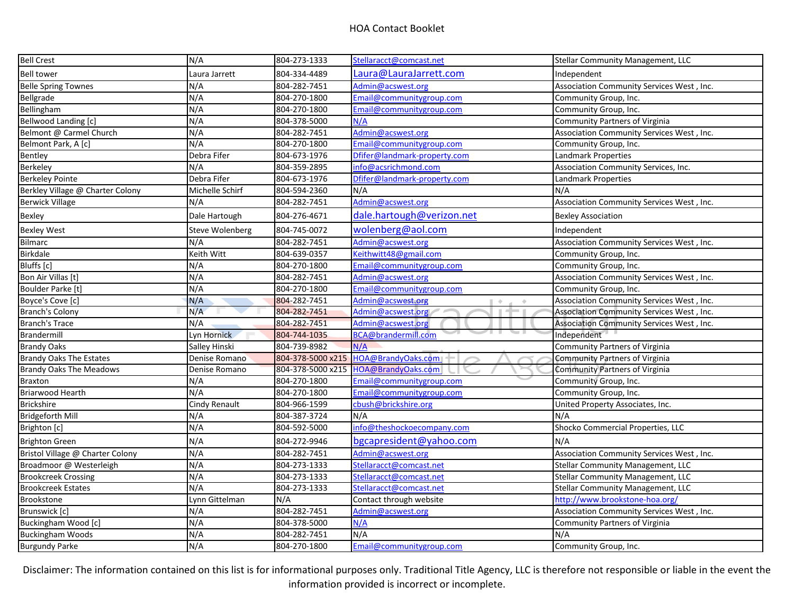| <b>Bell Crest</b>                | N/A                    | 804-273-1333      | Stellaracct@comcast.net                        | Stellar Community Management, LLC         |
|----------------------------------|------------------------|-------------------|------------------------------------------------|-------------------------------------------|
| <b>Bell tower</b>                | Laura Jarrett          | 804-334-4489      | Laura@LauraJarrett.com                         | Independent                               |
| <b>Belle Spring Townes</b>       | N/A                    | 804-282-7451      | Admin@acswest.org                              | Association Community Services West, Inc. |
| Bellgrade                        | N/A                    | 804-270-1800      | Email@communitygroup.com                       | Community Group, Inc.                     |
| Bellingham                       | N/A                    | 804-270-1800      | Email@communitygroup.com                       | Community Group, Inc.                     |
| Bellwood Landing [c]             | N/A                    | 804-378-5000      | N/A                                            | <b>Community Partners of Virginia</b>     |
| Belmont @ Carmel Church          | N/A                    | 804-282-7451      | Admin@acswest.org                              | Association Community Services West, Inc. |
| Belmont Park, A [c]              | N/A                    | 804-270-1800      | Email@communitygroup.com                       | Community Group, Inc.                     |
| Bentley                          | Debra Fifer            | 804-673-1976      | Dfifer@landmark-property.com                   | Landmark Properties                       |
| Berkeley                         | N/A                    | 804-359-2895      | info@acsrichmond.com                           | Association Community Services, Inc.      |
| <b>Berkeley Pointe</b>           | Debra Fifer            | 804-673-1976      | Dfifer@landmark-property.com                   | <b>Landmark Properties</b>                |
| Berkley Village @ Charter Colony | Michelle Schirf        | 804-594-2360      | N/A                                            | N/A                                       |
| <b>Berwick Village</b>           | N/A                    | 804-282-7451      | Admin@acswest.org                              | Association Community Services West, Inc. |
| <b>Bexley</b>                    | Dale Hartough          | 804-276-4671      | dale.hartough@verizon.net                      | <b>Bexley Association</b>                 |
| <b>Bexley West</b>               | <b>Steve Wolenberg</b> | 804-745-0072      | wolenberg@aol.com                              | Independent                               |
| Bilmarc                          | N/A                    | 804-282-7451      | Admin@acswest.org                              | Association Community Services West, Inc. |
| Birkdale                         | Keith Witt             | 804-639-0357      | Keithwitt48@gmail.com                          | Community Group, Inc.                     |
| Bluffs [c]                       | N/A                    | 804-270-1800      | Email@communitygroup.com                       | Community Group, Inc.                     |
| Bon Air Villas [t]               | N/A                    | 804-282-7451      | Admin@acswest.org                              | Association Community Services West, Inc. |
| Boulder Parke [t]                | N/A                    | 804-270-1800      | Email@communitygroup.com                       | Community Group, Inc.                     |
| Boyce's Cove [c]                 | N/A                    | 804-282-7451      | Admin@acswest.org<br>$\blacksquare$<br>$\circ$ | Association Community Services West, Inc. |
| Branch's Colony                  | N/A                    | 804-282-7451      | Admin@acswest.org                              | Association Community Services West, Inc. |
| <b>Branch's Trace</b>            | N/A                    | 804-282-7451      | Admin@acswest.org                              | Association Community Services West, Inc. |
| Brandermill                      | Lyn Hornick            | 804-744-1035      | BCA@brandermill.com                            | Independent                               |
| <b>Brandy Oaks</b>               | Salley Hinski          | 804-739-8982      | N/A                                            | <b>Community Partners of Virginia</b>     |
| <b>Brandy Oaks The Estates</b>   | Denise Romano          | 804-378-5000 x215 | HOA@BrandyOaks.com                             | <b>Community Partners of Virginia</b>     |
| <b>Brandy Oaks The Meadows</b>   | Denise Romano          | 804-378-5000 x215 | HOA@BrandyOaks.com                             | <b>Community Partners of Virginia</b>     |
| <b>Braxton</b>                   | N/A                    | 804-270-1800      | Email@communitygroup.com                       | Community Group, Inc.                     |
| Briarwood Hearth                 | N/A                    | 804-270-1800      | Email@communitygroup.com                       | Community Group, Inc.                     |
| <b>Brickshire</b>                | <b>Cindy Renault</b>   | 804-966-1599      | cbush@brickshire.org                           | United Property Associates, Inc.          |
| <b>Bridgeforth Mill</b>          | N/A                    | 804-387-3724      | N/A                                            | N/A                                       |
| Brighton [c]                     | N/A                    | 804-592-5000      | info@theshockoecompany.com                     | Shocko Commercial Properties, LLC         |
| <b>Brighton Green</b>            | N/A                    | 804-272-9946      | bgcapresident@yahoo.com                        | N/A                                       |
| Bristol Village @ Charter Colony | N/A                    | 804-282-7451      | Admin@acswest.org                              | Association Community Services West, Inc. |
| Broadmoor @ Westerleigh          | N/A                    | 804-273-1333      | Stellaracct@comcast.net                        | Stellar Community Management, LLC         |
| <b>Brookcreek Crossing</b>       | N/A                    | 804-273-1333      | Stellaracct@comcast.net                        | Stellar Community Management, LLC         |
| <b>Brookcreek Estates</b>        | N/A                    | 804-273-1333      | Stellaracct@comcast.net                        | Stellar Community Management, LLC         |
| Brookstone                       | Lynn Gittelman         | N/A               | Contact through website                        | http://www.brookstone-hoa.org/            |
| Brunswick [c]                    | N/A                    | 804-282-7451      | Admin@acswest.org                              | Association Community Services West, Inc. |
| Buckingham Wood [c]              | N/A                    | 804-378-5000      | N/A                                            | Community Partners of Virginia            |
| <b>Buckingham Woods</b>          | N/A                    | 804-282-7451      | N/A                                            | N/A                                       |
| <b>Burgundy Parke</b>            | N/A                    | 804-270-1800      | Email@communitygroup.com                       | Community Group, Inc.                     |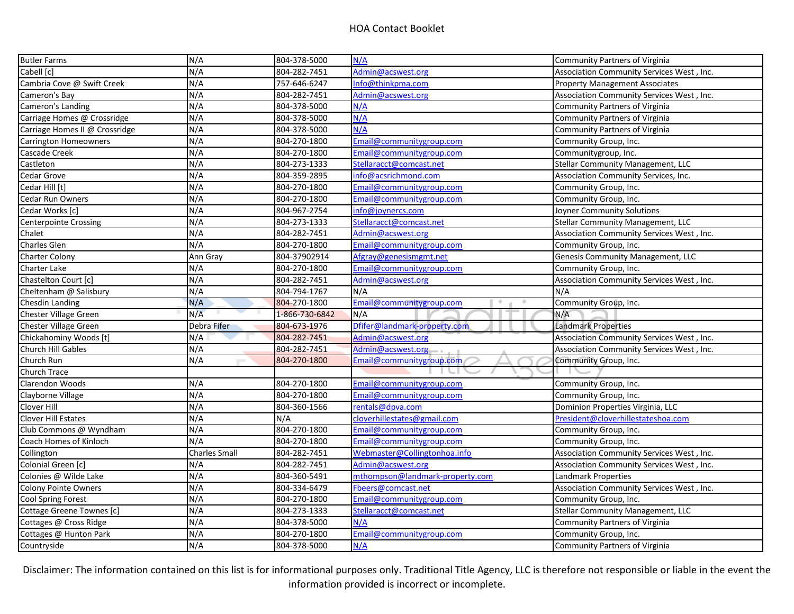| <b>Butler Farms</b>            | N/A                  | 804-378-5000   | N/A                             | Community Partners of Virginia            |
|--------------------------------|----------------------|----------------|---------------------------------|-------------------------------------------|
| Cabell [c]                     | N/A                  | 804-282-7451   | Admin@acswest.org               | Association Community Services West, Inc. |
| Cambria Cove @ Swift Creek     | N/A                  | 757-646-6247   | Info@thinkpma.com               | <b>Property Management Associates</b>     |
| Cameron's Bay                  | N/A                  | 804-282-7451   | Admin@acswest.org               | Association Community Services West, Inc. |
| Cameron's Landing              | N/A                  | 804-378-5000   | N/A                             | Community Partners of Virginia            |
| Carriage Homes @ Crossridge    | N/A                  | 804-378-5000   | N/A                             | <b>Community Partners of Virginia</b>     |
| Carriage Homes II @ Crossridge | N/A                  | 804-378-5000   | N/A                             | <b>Community Partners of Virginia</b>     |
| <b>Carrington Homeowners</b>   | N/A                  | 804-270-1800   | Email@communitygroup.com        | Community Group, Inc.                     |
| Cascade Creek                  | N/A                  | 804-270-1800   | Email@communitygroup.com        | Communitygroup, Inc.                      |
| Castleton                      | N/A                  | 804-273-1333   | Stellaracct@comcast.net         | Stellar Community Management, LLC         |
| Cedar Grove                    | N/A                  | 804-359-2895   | info@acsrichmond.com            | Association Community Services, Inc.      |
| Cedar Hill [t]                 | N/A                  | 804-270-1800   | Email@communitygroup.com        | Community Group, Inc.                     |
| <b>Cedar Run Owners</b>        | N/A                  | 804-270-1800   | Email@communitygroup.com        | Community Group, Inc.                     |
| Cedar Works [c]                | N/A                  | 804-967-2754   | info@joynercs.com               | Joyner Community Solutions                |
| <b>Centerpointe Crossing</b>   | N/A                  | 804-273-1333   | Stellaracct@comcast.net         | Stellar Community Management, LLC         |
| Chalet                         | N/A                  | 804-282-7451   | Admin@acswest.org               | Association Community Services West, Inc. |
| <b>Charles Glen</b>            | N/A                  | 804-270-1800   | Email@communitygroup.com        | Community Group, Inc.                     |
| <b>Charter Colony</b>          | Ann Gray             | 804-37902914   | Afgray@genesismgmt.net          | Genesis Community Management, LLC         |
| Charter Lake                   | N/A                  | 804-270-1800   | Email@communitygroup.com        | Community Group, Inc.                     |
| Chastelton Court [c]           | N/A                  | 804-282-7451   | Admin@acswest.org               | Association Community Services West, Inc. |
| Cheltenham @ Salisbury         | N/A                  | 804-794-1767   | N/A                             | N/A                                       |
| Chesdin Landing                | N/A                  | 804-270-1800   | Email@communitygroup.com<br>÷.  | Community Group, Inc.                     |
| <b>Chester Village Green</b>   | N/A                  | 1-866-730-6842 | N/A                             | N/A                                       |
| <b>Chester Village Green</b>   | Debra Fifer          | 804-673-1976   | Dfifer@landmark-property.com    | <b>Landmark Properties</b>                |
| Chickahominy Woods [t]         | N/A                  | 804-282-7451   | Admin@acswest.org               | Association Community Services West, Inc. |
| <b>Church Hill Gables</b>      | N/A                  | 804-282-7451   | Admin@acswest.org               | Association Community Services West, Inc. |
| Church Run                     | N/A                  | 804-270-1800   | Email@communitygroup.com        | Community Group, Inc.                     |
| <b>Church Trace</b>            |                      |                |                                 |                                           |
| Clarendon Woods                | N/A                  | 804-270-1800   | Email@communitygroup.com        | Community Group, Inc.                     |
| Clayborne Village              | N/A                  | 804-270-1800   | Email@communitygroup.com        | Community Group, Inc.                     |
| Clover Hill                    | N/A                  | 804-360-1566   | rentals@dpva.com                | Dominion Properties Virginia, LLC         |
| <b>Clover Hill Estates</b>     | N/A                  | N/A            | cloverhillestates@gmail.com     | President@cloverhillestateshoa.com        |
| Club Commons @ Wyndham         | N/A                  | 804-270-1800   | Email@communitygroup.com        | Community Group, Inc.                     |
| Coach Homes of Kinloch         | N/A                  | 804-270-1800   | Email@communitygroup.com        | Community Group, Inc.                     |
| Collington                     | <b>Charles Small</b> | 804-282-7451   | Webmaster@Collingtonhoa.info    | Association Community Services West, Inc. |
| Colonial Green [c]             | N/A                  | 804-282-7451   | Admin@acswest.org               | Association Community Services West, Inc. |
| Colonies @ Wilde Lake          | N/A                  | 804-360-5491   | mthompson@landmark-property.com | Landmark Properties                       |
| <b>Colony Pointe Owners</b>    | N/A                  | 804-334-6479   | Fbeers@comcast.net              | Association Community Services West, Inc. |
| <b>Cool Spring Forest</b>      | N/A                  | 804-270-1800   | Email@communitygroup.com        | Community Group, Inc.                     |
| Cottage Greene Townes [c]      | N/A                  | 804-273-1333   | Stellaracct@comcast.net         | Stellar Community Management, LLC         |
| Cottages @ Cross Ridge         | N/A                  | 804-378-5000   | N/A                             | Community Partners of Virginia            |
| Cottages @ Hunton Park         | N/A                  | 804-270-1800   | Email@communitygroup.com        | Community Group, Inc.                     |
| Countryside                    | N/A                  | 804-378-5000   | N/A                             | <b>Community Partners of Virginia</b>     |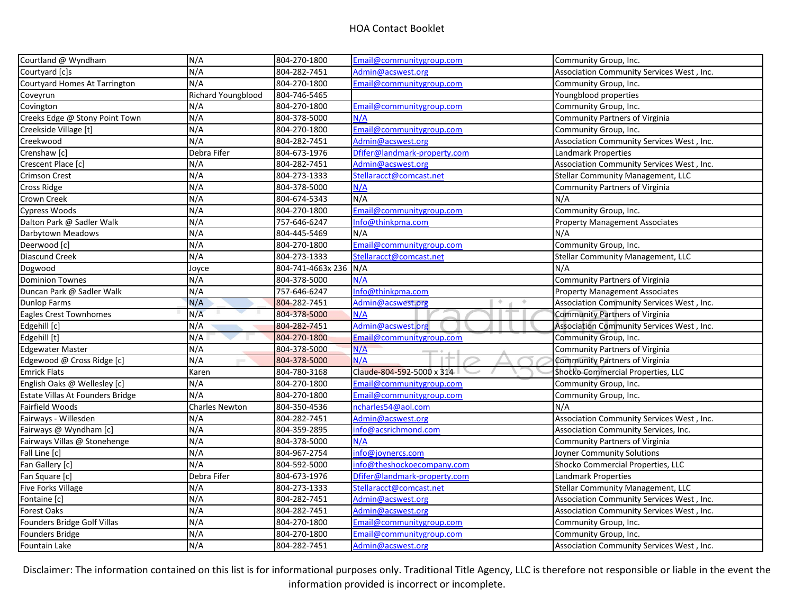| Courtland @ Wyndham              | N/A                       | 804-270-1800          | Email@communitygroup.com     | Community Group, Inc.                     |
|----------------------------------|---------------------------|-----------------------|------------------------------|-------------------------------------------|
| Courtyard [c]s                   | N/A                       | 804-282-7451          | Admin@acswest.org            | Association Community Services West, Inc. |
| Courtyard Homes At Tarrington    | N/A                       | 804-270-1800          | Email@communitygroup.com     | Community Group, Inc.                     |
| Coveyrun                         | <b>Richard Youngblood</b> | 804-746-5465          |                              | Youngblood properties                     |
| Covington                        | N/A                       | 804-270-1800          | Email@communitygroup.com     | Community Group, Inc.                     |
| Creeks Edge @ Stony Point Town   | N/A                       | 804-378-5000          | N/A                          | <b>Community Partners of Virginia</b>     |
| Creekside Village [t]            | N/A                       | 804-270-1800          | Email@communitygroup.com     | Community Group, Inc.                     |
| Creekwood                        | N/A                       | 804-282-7451          | Admin@acswest.org            | Association Community Services West, Inc. |
| Crenshaw [c]                     | Debra Fifer               | 804-673-1976          | Dfifer@landmark-property.com | <b>Landmark Properties</b>                |
| Crescent Place [c]               | N/A                       | 804-282-7451          | Admin@acswest.org            | Association Community Services West, Inc. |
| <b>Crimson Crest</b>             | N/A                       | 804-273-1333          | Stellaracct@comcast.net      | <b>Stellar Community Management, LLC</b>  |
| Cross Ridge                      | N/A                       | 804-378-5000          | N/A                          | <b>Community Partners of Virginia</b>     |
| Crown Creek                      | N/A                       | 804-674-5343          | N/A                          | N/A                                       |
| Cypress Woods                    | N/A                       | 804-270-1800          | Email@communitygroup.com     | Community Group, Inc.                     |
| Dalton Park @ Sadler Walk        | N/A                       | 757-646-6247          | Info@thinkpma.com            | <b>Property Management Associates</b>     |
| Darbytown Meadows                | N/A                       | 804-445-5469          | N/A                          | N/A                                       |
| Deerwood [c]                     | N/A                       | 804-270-1800          | Email@communitygroup.com     | Community Group, Inc.                     |
| Diascund Creek                   | N/A                       | 804-273-1333          | Stellaracct@comcast.net      | Stellar Community Management, LLC         |
| Dogwood                          | Joyce                     | 804-741-4663x 236 N/A |                              | N/A                                       |
| <b>Dominion Townes</b>           | N/A                       | 804-378-5000          | N/A                          | <b>Community Partners of Virginia</b>     |
| Duncan Park @ Sadler Walk        | N/A                       | 757-646-6247          | Info@thinkpma.com            | <b>Property Management Associates</b>     |
| Dunlop Farms                     | N/A                       | 804-282-7451          | Admin@acswest.org<br>÷       | Association Community Services West, Inc. |
| Eagles Crest Townhomes           | N/A                       | 804-378-5000          | N/A                          | <b>Community Partners of Virginia</b>     |
| Edgehill [c]                     | N/A                       | 804-282-7451          | Admin@acswest.org            | Association Community Services West, Inc. |
| Edgehill [t]                     | N/A                       | 804-270-1800          | Email@communitygroup.com     | Community Group, Inc.                     |
| <b>Edgewater Master</b>          | N/A                       | 804-378-5000          | N/A                          | <b>Community Partners of Virginia</b>     |
| Edgewood @ Cross Ridge [c]       | N/A                       | 804-378-5000          | N/A                          | <b>Community Partners of Virginia</b>     |
| <b>Emrick Flats</b>              | Karen                     | 804-780-3168          | Claude-804-592-5000 x 314    | Shocko Commercial Properties, LLC         |
| English Oaks @ Wellesley [c]     | N/A                       | 804-270-1800          | Email@communitygroup.com     | Community Group, Inc.                     |
| Estate Villas At Founders Bridge | N/A                       | 804-270-1800          | Email@communitygroup.com     | Community Group, Inc.                     |
| Fairfield Woods                  | <b>Charles Newton</b>     | 804-350-4536          | ncharles54@aol.com           | N/A                                       |
| Fairways - Willesden             | N/A                       | 804-282-7451          | Admin@acswest.org            | Association Community Services West, Inc. |
| Fairways @ Wyndham [c]           | N/A                       | 804-359-2895          | info@acsrichmond.com         | Association Community Services, Inc.      |
| Fairways Villas @ Stonehenge     | N/A                       | 804-378-5000          | N/A                          | <b>Community Partners of Virginia</b>     |
| Fall Line [c]                    | N/A                       | 804-967-2754          | info@joynercs.com            | Joyner Community Solutions                |
| Fan Gallery [c]                  | N/A                       | 804-592-5000          | info@theshockoecompany.com   | Shocko Commercial Properties, LLC         |
| Fan Square [c]                   | Debra Fifer               | 804-673-1976          | Dfifer@landmark-property.com | Landmark Properties                       |
| <b>Five Forks Village</b>        | N/A                       | 804-273-1333          | Stellaracct@comcast.net      | Stellar Community Management, LLC         |
| Fontaine [c]                     | N/A                       | 804-282-7451          | Admin@acswest.org            | Association Community Services West, Inc. |
| <b>Forest Oaks</b>               | N/A                       | 804-282-7451          | Admin@acswest.org            | Association Community Services West, Inc. |
| Founders Bridge Golf Villas      | N/A                       | 804-270-1800          | Email@communitygroup.com     | Community Group, Inc.                     |
| Founders Bridge                  | N/A                       | 804-270-1800          | Email@communitygroup.com     | Community Group, Inc.                     |
| Fountain Lake                    | N/A                       | 804-282-7451          | Admin@acswest.org            | Association Community Services West, Inc. |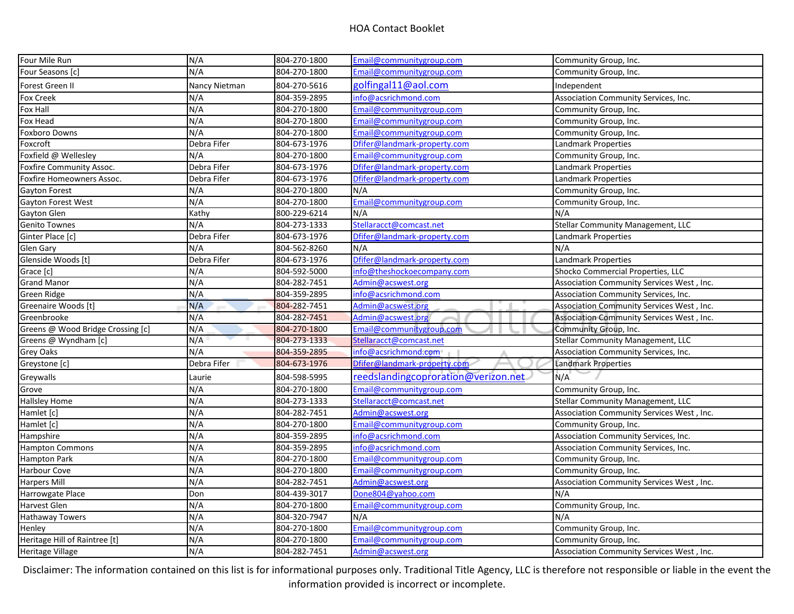| Four Mile Run                     | N/A           | 804-270-1800 | Email@communitygroup.com            | Community Group, Inc.                     |
|-----------------------------------|---------------|--------------|-------------------------------------|-------------------------------------------|
| Four Seasons [c]                  | N/A           | 804-270-1800 | Email@communitygroup.com            | Community Group, Inc.                     |
| Forest Green II                   | Nancy Nietman | 804-270-5616 | golfingal11@aol.com                 | Independent                               |
| <b>Fox Creek</b>                  | N/A           | 804-359-2895 | info@acsrichmond.com                | Association Community Services, Inc.      |
| Fox Hall                          | N/A           | 804-270-1800 | Email@communitygroup.com            | Community Group, Inc.                     |
| Fox Head                          | N/A           | 804-270-1800 | Email@communitygroup.com            | Community Group, Inc.                     |
| <b>Foxboro Downs</b>              | N/A           | 804-270-1800 | Email@communitygroup.com            | Community Group, Inc.                     |
| Foxcroft                          | Debra Fifer   | 804-673-1976 | Dfifer@landmark-property.com        | Landmark Properties                       |
| Foxfield @ Wellesley              | N/A           | 804-270-1800 | Email@communitygroup.com            | Community Group, Inc.                     |
| Foxfire Community Assoc.          | Debra Fifer   | 804-673-1976 | Dfifer@landmark-property.com        | Landmark Properties                       |
| Foxfire Homeowners Assoc.         | Debra Fifer   | 804-673-1976 | Dfifer@landmark-property.com        | Landmark Properties                       |
| <b>Gayton Forest</b>              | N/A           | 804-270-1800 | N/A                                 | Community Group, Inc.                     |
| Gayton Forest West                | N/A           | 804-270-1800 | Email@communitygroup.com            | Community Group, Inc.                     |
| Gayton Glen                       | Kathy         | 800-229-6214 | N/A                                 | N/A                                       |
| <b>Genito Townes</b>              | N/A           | 804-273-1333 | Stellaracct@comcast.net             | Stellar Community Management, LLC         |
| Ginter Place [c]                  | Debra Fifer   | 804-673-1976 | Dfifer@landmark-property.com        | Landmark Properties                       |
| Glen Gary                         | N/A           | 804-562-8260 | N/A                                 | N/A                                       |
| Glenside Woods [t]                | Debra Fifer   | 804-673-1976 | Dfifer@landmark-property.com        | Landmark Properties                       |
| Grace [c]                         | N/A           | 804-592-5000 | info@theshockoecompany.com          | Shocko Commercial Properties, LLC         |
| <b>Grand Manor</b>                | N/A           | 804-282-7451 | Admin@acswest.org                   | Association Community Services West, Inc. |
| <b>Green Ridge</b>                | N/A           | 804-359-2895 | info@acsrichmond.com                | Association Community Services, Inc.      |
| Greenaire Woods [t]               | N/A           | 804-282-7451 | Admin@acswest.org                   | Association Community Services West, Inc. |
| Greenbrooke                       | N/A           | 804-282-7451 | Admin@acswest.org                   | Association Community Services West, Inc. |
| Greens @ Wood Bridge Crossing [c] | N/A           | 804-270-1800 | Email@communitygroup.com            | Community Group, Inc.                     |
| Greens @ Wyndham [c]              | N/A           | 804-273-1333 | Stellaracct@comcast.net             | <b>Stellar Community Management, LLC</b>  |
| <b>Grey Oaks</b>                  | N/A           | 804-359-2895 | info@acsrichmond.com                | Association Community Services, Inc.      |
| Greystone [c]                     | Debra Fifer   | 804-673-1976 | Dfifer@landmark-property.com        | <b>Landmark Properties</b>                |
| Greywalls                         | Laurie        | 804-598-5995 | reedslandingcoproration@verizon.net | N/A                                       |
| Grove                             | N/A           | 804-270-1800 | Email@communitygroup.com            | Community Group, Inc.                     |
| <b>Hallsley Home</b>              | N/A           | 804-273-1333 | Stellaracct@comcast.net             | <b>Stellar Community Management, LLC</b>  |
| Hamlet [c]                        | N/A           | 804-282-7451 | Admin@acswest.org                   | Association Community Services West, Inc. |
| Hamlet [c]                        | N/A           | 804-270-1800 | Email@communitygroup.com            | Community Group, Inc.                     |
| Hampshire                         | N/A           | 804-359-2895 | info@acsrichmond.com                | Association Community Services, Inc.      |
| <b>Hampton Commons</b>            | N/A           | 804-359-2895 | info@acsrichmond.com                | Association Community Services, Inc.      |
| Hampton Park                      | N/A           | 804-270-1800 | Email@communitygroup.com            | Community Group, Inc.                     |
| <b>Harbour Cove</b>               | N/A           | 804-270-1800 | Email@communitygroup.com            | Community Group, Inc.                     |
| <b>Harpers Mill</b>               | N/A           | 804-282-7451 | Admin@acswest.org                   | Association Community Services West, Inc. |
| <b>Harrowgate Place</b>           | Don           | 804-439-3017 | Done804@yahoo.com                   | N/A                                       |
| Harvest Glen                      | N/A           | 804-270-1800 | Email@communitygroup.com            | Community Group, Inc.                     |
| <b>Hathaway Towers</b>            | N/A           | 804-320-7947 | N/A                                 | N/A                                       |
| Henley                            | N/A           | 804-270-1800 | Email@communitygroup.com            | Community Group, Inc.                     |
| Heritage Hill of Raintree [t]     | N/A           | 804-270-1800 | Email@communitygroup.com            | Community Group, Inc.                     |
| Heritage Village                  | N/A           | 804-282-7451 | Admin@acswest.org                   | Association Community Services West, Inc. |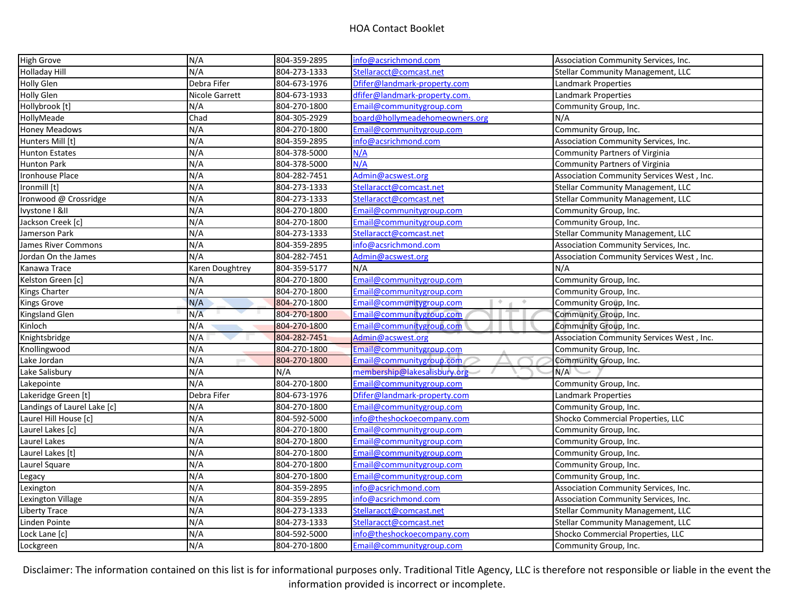| <b>High Grove</b>           | N/A             | 804-359-2895 | info@acsrichmond.com           | Association Community Services, Inc.      |
|-----------------------------|-----------------|--------------|--------------------------------|-------------------------------------------|
| <b>Holladay Hill</b>        | N/A             | 804-273-1333 | Stellaracct@comcast.net        | <b>Stellar Community Management, LLC</b>  |
| <b>Holly Glen</b>           | Debra Fifer     | 804-673-1976 | Dfifer@landmark-property.com   | Landmark Properties                       |
| <b>Holly Glen</b>           | Nicole Garrett  | 804-673-1933 | dfifer@landmark-property.com.  | <b>Landmark Properties</b>                |
| Hollybrook [t]              | N/A             | 804-270-1800 | Email@communitygroup.com       | Community Group, Inc.                     |
| <b>HollyMeade</b>           | Chad            | 804-305-2929 | board@hollymeadehomeowners.org | N/A                                       |
| <b>Honey Meadows</b>        | N/A             | 804-270-1800 | Email@communitygroup.com       | Community Group, Inc.                     |
| Hunters Mill [t]            | N/A             | 804-359-2895 | info@acsrichmond.com           | Association Community Services, Inc.      |
| Hunton Estates              | N/A             | 804-378-5000 | N/A                            | <b>Community Partners of Virginia</b>     |
| Hunton Park                 | N/A             | 804-378-5000 | N/A                            | <b>Community Partners of Virginia</b>     |
| <b>Ironhouse Place</b>      | N/A             | 804-282-7451 | Admin@acswest.org              | Association Community Services West, Inc. |
| Ironmill [t]                | N/A             | 804-273-1333 | Stellaracct@comcast.net        | Stellar Community Management, LLC         |
| Ironwood @ Crossridge       | N/A             | 804-273-1333 | Stellaracct@comcast.net        | Stellar Community Management, LLC         |
| Tvystone   &II              | N/A             | 804-270-1800 | Email@communitygroup.com       | Community Group, Inc.                     |
| Jackson Creek [c]           | N/A             | 804-270-1800 | Email@communitygroup.com       | Community Group, Inc.                     |
| Jamerson Park               | N/A             | 804-273-1333 | Stellaracct@comcast.net        | <b>Stellar Community Management, LLC</b>  |
| James River Commons         | N/A             | 804-359-2895 | info@acsrichmond.com           | Association Community Services, Inc.      |
| Jordan On the James         | N/A             | 804-282-7451 | Admin@acswest.org              | Association Community Services West, Inc. |
| Kanawa Trace                | Karen Doughtrey | 804-359-5177 | N/A                            | N/A                                       |
| Kelston Green [c]           | N/A             | 804-270-1800 | Email@communitygroup.com       | Community Group, Inc.                     |
| Kings Charter               | N/A             | 804-270-1800 | Email@communitygroup.com       | Community Group, Inc.                     |
| <b>Kings Grove</b>          | N/A             | 804-270-1800 | Email@communitygroup.com<br>÷. | Community Group, Inc.                     |
| Kingsland Glen              | N/A             | 804-270-1800 | Email@communitygroup.com       | Community Group, Inc.                     |
| Kinloch                     | N/A             | 804-270-1800 | Email@communitygroup.com       | Community Group, Inc.                     |
| Knightsbridge               | N/A             | 804-282-7451 | Admin@acswest.org              | Association Community Services West, Inc. |
| Knollingwood                | N/A             | 804-270-1800 | Email@communitygroup.com       | Community Group, Inc.                     |
| Lake Jordan                 | N/A             | 804-270-1800 | Email@communitygroup.com       | Community Group, Inc.                     |
| Lake Salisbury              | N/A             | N/A          | membership@lakesalisbury.org   | N/A                                       |
| Lakepointe                  | N/A             | 804-270-1800 | Email@communitygroup.com       | Community Group, Inc.                     |
| Lakeridge Green [t]         | Debra Fifer     | 804-673-1976 | Dfifer@landmark-property.com   | Landmark Properties                       |
| Landings of Laurel Lake [c] | N/A             | 804-270-1800 | Email@communitygroup.com       | Community Group, Inc.                     |
| Laurel Hill House [c]       | N/A             | 804-592-5000 | info@theshockoecompany.com     | Shocko Commercial Properties, LLC         |
| Laurel Lakes [c]            | N/A             | 804-270-1800 | Email@communitygroup.com       | Community Group, Inc.                     |
| Laurel Lakes                | N/A             | 804-270-1800 | Email@communitygroup.com       | Community Group, Inc.                     |
| Laurel Lakes [t]            | N/A             | 804-270-1800 | Email@communitygroup.com       | Community Group, Inc.                     |
| Laurel Square               | N/A             | 804-270-1800 | Email@communitygroup.com       | Community Group, Inc.                     |
| Legacy                      | N/A             | 804-270-1800 | Email@communitygroup.com       | Community Group, Inc.                     |
| Lexington                   | N/A             | 804-359-2895 | info@acsrichmond.com           | Association Community Services, Inc.      |
| Lexington Village           | N/A             | 804-359-2895 | info@acsrichmond.com           | Association Community Services, Inc.      |
| Liberty Trace               | N/A             | 804-273-1333 | Stellaracct@comcast.net        | <b>Stellar Community Management, LLC</b>  |
| Linden Pointe               | N/A             | 804-273-1333 | Stellaracct@comcast.net        | <b>Stellar Community Management, LLC</b>  |
| Lock Lane [c]               | N/A             | 804-592-5000 | info@theshockoecompany.com     | Shocko Commercial Properties, LLC         |
| Lockgreen                   | N/A             | 804-270-1800 | Email@communitygroup.com       | Community Group, Inc.                     |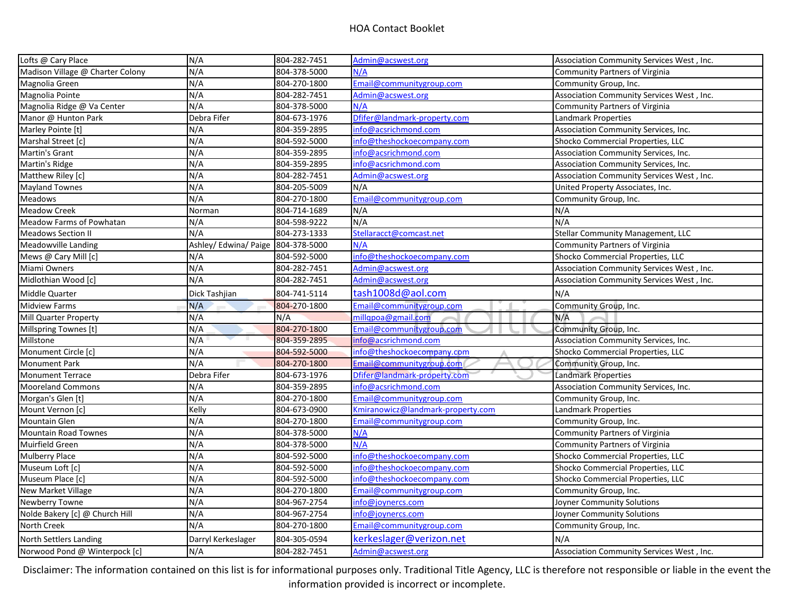| N/A<br>Lofts @ Cary Place                                      |                           | 804-282-7451                 | Admin@acswest.org                 | Association Community Services West, Inc. |
|----------------------------------------------------------------|---------------------------|------------------------------|-----------------------------------|-------------------------------------------|
| Madison Village @ Charter Colony                               | N/A                       | 804-378-5000                 | N/A                               | <b>Community Partners of Virginia</b>     |
| Magnolia Green                                                 | N/A                       | 804-270-1800                 | Email@communitygroup.com          | Community Group, Inc.                     |
| Magnolia Pointe                                                | N/A                       | 804-282-7451                 | Admin@acswest.org                 | Association Community Services West, Inc. |
| Magnolia Ridge @ Va Center                                     | N/A                       | 804-378-5000                 | N/A                               | <b>Community Partners of Virginia</b>     |
| Manor @ Hunton Park                                            | Debra Fifer               | 804-673-1976                 | Dfifer@landmark-property.com      | Landmark Properties                       |
| Marley Pointe [t]                                              | N/A                       | 804-359-2895                 | info@acsrichmond.com              | Association Community Services, Inc.      |
| Marshal Street [c]                                             | N/A                       | 804-592-5000                 | info@theshockoecompany.com        | Shocko Commercial Properties, LLC         |
| Martin's Grant                                                 | N/A                       | 804-359-2895                 | info@acsrichmond.com              | Association Community Services, Inc.      |
| Martin's Ridge                                                 | N/A                       | 804-359-2895                 | info@acsrichmond.com              | Association Community Services, Inc.      |
| Matthew Riley [c]                                              | N/A                       | 804-282-7451                 | Admin@acswest.org                 | Association Community Services West, Inc. |
| <b>Mayland Townes</b>                                          | N/A                       | 804-205-5009                 | N/A                               | United Property Associates, Inc.          |
| Meadows                                                        | N/A                       | 804-270-1800                 | Email@communitygroup.com          | Community Group, Inc.                     |
| <b>Meadow Creek</b>                                            | Norman                    | 804-714-1689                 | N/A                               | N/A                                       |
| Meadow Farms of Powhatan                                       | N/A                       | 804-598-9222                 | N/A                               | N/A                                       |
| <b>Meadows Section II</b>                                      | N/A                       | 804-273-1333                 | Stellaracct@comcast.net           | <b>Stellar Community Management, LLC</b>  |
| Meadowville Landing                                            | Ashley/ Edwina/ Paige     | 804-378-5000                 | N/A                               | Community Partners of Virginia            |
| Mews @ Cary Mill [c]                                           | N/A                       | 804-592-5000                 | info@theshockoecompany.com        | Shocko Commercial Properties, LLC         |
| Miami Owners                                                   | N/A                       | 804-282-7451                 | Admin@acswest.org                 | Association Community Services West, Inc. |
| Midlothian Wood [c]                                            | N/A                       | 804-282-7451                 | Admin@acswest.org                 | Association Community Services West, Inc. |
| Middle Quarter                                                 | Dick Tashjian             | 804-741-5114                 | tash1008d@aol.com                 | N/A                                       |
| <b>Midview Farms</b>                                           | N/A                       | 804-270-1800                 | Email@communitygroup.com          | Community Group, Inc.                     |
| Mill Quarter Property                                          | N/A                       | N/A                          | millqpoa@gmail.com                | N/A                                       |
| Millspring Townes [t]                                          | N/A                       | 804-270-1800                 | Email@communitygroup.com          | Community Group, Inc.                     |
| Millstone                                                      | N/A                       | 804-359-2895                 | info@acsrichmond.com              | Association Community Services, Inc.      |
| Monument Circle [c]                                            | N/A                       | 804-592-5000                 | info@theshockoecompany.com        | Shocko Commercial Properties, LLC         |
| <b>Monument Park</b>                                           | N/A                       | 804-270-1800                 | Email@communitygroup.com          | Community Group, Inc.                     |
| <b>Monument Terrace</b>                                        | Debra Fifer               | 804-673-1976                 | Dfifer@landmark-property.com      | <b>Landmark Properties</b>                |
| N/A<br><b>Mooreland Commons</b>                                |                           |                              |                                   |                                           |
|                                                                |                           | 804-359-2895                 | info@acsrichmond.com              | Association Community Services, Inc.      |
| Morgan's Glen [t]                                              | N/A                       | 804-270-1800                 | Email@communitygroup.com          | Community Group, Inc.                     |
| Mount Vernon [c]                                               | Kelly                     | 804-673-0900                 | Kmiranowicz@landmark-property.com | Landmark Properties                       |
| <b>Mountain Glen</b>                                           | N/A                       | 804-270-1800                 | Email@communitygroup.com          | Community Group, Inc.                     |
| <b>Mountain Road Townes</b>                                    | N/A                       | 804-378-5000                 | N/A                               | <b>Community Partners of Virginia</b>     |
| <b>Muirfield Green</b>                                         | N/A                       | 804-378-5000                 | N/A                               | <b>Community Partners of Virginia</b>     |
| <b>Mulberry Place</b>                                          | N/A                       | 804-592-5000                 | info@theshockoecompany.com        | Shocko Commercial Properties, LLC         |
| Museum Loft [c]                                                | N/A                       | 804-592-5000                 | info@theshockoecompany.com        | Shocko Commercial Properties, LLC         |
| Museum Place [c]                                               | N/A                       | 804-592-5000                 | info@theshockoecompany.com        | Shocko Commercial Properties, LLC         |
| New Market Village                                             | N/A                       | 804-270-1800                 | Email@communitygroup.com          | Community Group, Inc.                     |
| Newberry Towne                                                 | N/A                       | 804-967-2754                 | info@joynercs.com                 | Joyner Community Solutions                |
| Nolde Bakery [c] @ Church Hill                                 | N/A                       | 804-967-2754                 | info@joynercs.com                 | Joyner Community Solutions                |
| <b>North Creek</b>                                             | N/A                       | 804-270-1800                 | Email@communitygroup.com          | Community Group, Inc.                     |
| <b>North Settlers Landing</b><br>Norwood Pond @ Winterpock [c] | Darryl Kerkeslager<br>N/A | 804-305-0594<br>804-282-7451 | kerkeslager@verizon.net           | N/A                                       |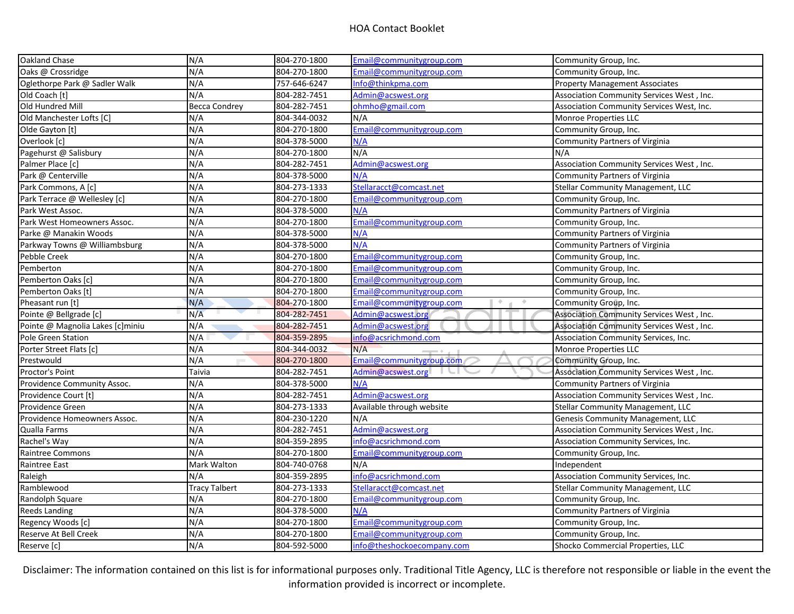| Oakland Chase                    | N/A                  | 804-270-1800 | Email@communitygroup.com       | Community Group, Inc.                     |
|----------------------------------|----------------------|--------------|--------------------------------|-------------------------------------------|
| Oaks @ Crossridge                | N/A                  | 804-270-1800 | Email@communitygroup.com       | Community Group, Inc.                     |
| Oglethorpe Park @ Sadler Walk    | N/A                  | 757-646-6247 | Info@thinkpma.com              | <b>Property Management Associates</b>     |
| Old Coach [t]                    | N/A                  | 804-282-7451 | Admin@acswest.org              | Association Community Services West, Inc. |
| Old Hundred Mill                 | <b>Becca Condrey</b> | 804-282-7451 | ohmho@gmail.com                | Association Community Services West, Inc. |
| Old Manchester Lofts [C]         | N/A                  | 804-344-0032 | N/A                            | Monroe Properties LLC                     |
| Olde Gayton [t]                  | N/A                  | 804-270-1800 | Email@communitygroup.com       | Community Group, Inc.                     |
| Overlook [c]                     | N/A                  | 804-378-5000 | N/A                            | <b>Community Partners of Virginia</b>     |
| Pagehurst @ Salisbury            | N/A                  | 804-270-1800 | N/A                            | N/A                                       |
| Palmer Place [c]                 | N/A                  | 804-282-7451 | Admin@acswest.org              | Association Community Services West, Inc. |
| Park @ Centerville               | N/A                  | 804-378-5000 | N/A                            | Community Partners of Virginia            |
| Park Commons, A [c]              | N/A                  | 804-273-1333 | Stellaracct@comcast.net        | <b>Stellar Community Management, LLC</b>  |
| Park Terrace @ Wellesley [c]     | N/A                  | 804-270-1800 | Email@communitygroup.com       | Community Group, Inc.                     |
| Park West Assoc.                 | N/A                  | 804-378-5000 | N/A                            | Community Partners of Virginia            |
| Park West Homeowners Assoc.      | N/A                  | 804-270-1800 | Email@communitygroup.com       | Community Group, Inc.                     |
| Parke @ Manakin Woods            | N/A                  | 804-378-5000 | N/A                            | Community Partners of Virginia            |
| Parkway Towns @ Williambsburg    | N/A                  | 804-378-5000 | N/A                            | <b>Community Partners of Virginia</b>     |
| Pebble Creek                     | N/A                  | 804-270-1800 | Email@communitygroup.com       | Community Group, Inc.                     |
| Pemberton                        | N/A                  | 804-270-1800 | Email@communitygroup.com       | Community Group, Inc.                     |
| Pemberton Oaks [c]               | N/A                  | 804-270-1800 | Email@communitygroup.com       | Community Group, Inc.                     |
| Pemberton Oaks [t]               | N/A                  | 804-270-1800 | Email@communitygroup.com       | Community Group, Inc.                     |
| Pheasant run [t]                 | N/A                  | 804-270-1800 | ÷.<br>Email@communitygroup.com | Community Group, Inc.                     |
| Pointe @ Bellgrade [c]           | N/A                  | 804-282-7451 | Admin@acswest.org              | Association Community Services West, Inc. |
| Pointe @ Magnolia Lakes [c]miniu | N/A                  | 804-282-7451 | Admin@acswest.org              | Association Community Services West, Inc. |
| Pole Green Station               | N/A                  | 804-359-2895 | info@acsrichmond.com           | Association Community Services, Inc.      |
| Porter Street Flats [c]          | N/A                  | 804-344-0032 | N/A                            | Monroe Properties LLC                     |
| Prestwould                       | N/A                  | 804-270-1800 | Email@communitygroup.com       | Community Group, Inc.                     |
| Proctor's Point                  | Taivia               | 804-282-7451 | Admin@acswest.org              | Association Community Services West, Inc. |
| Providence Community Assoc.      | N/A                  | 804-378-5000 | N/A                            | <b>Community Partners of Virginia</b>     |
| Providence Court [t]             | N/A                  | 804-282-7451 | Admin@acswest.org              | Association Community Services West, Inc. |
| Providence Green                 | N/A                  | 804-273-1333 | Available through website      | <b>Stellar Community Management, LLC</b>  |
| Providence Homeowners Assoc.     | N/A                  | 804-230-1220 | N/A                            | Genesis Community Management, LLC         |
| Qualla Farms                     | N/A                  | 804-282-7451 | Admin@acswest.org              | Association Community Services West, Inc. |
| Rachel's Way                     | N/A                  | 804-359-2895 | info@acsrichmond.com           | Association Community Services, Inc.      |
| Raintree Commons                 | N/A                  | 804-270-1800 | Email@communitygroup.com       | Community Group, Inc.                     |
| Raintree East                    | Mark Walton          | 804-740-0768 | N/A                            | Independent                               |
| Raleigh                          | N/A                  | 804-359-2895 | info@acsrichmond.com           | Association Community Services, Inc.      |
| Ramblewood                       | <b>Tracy Talbert</b> | 804-273-1333 | Stellaracct@comcast.net        | <b>Stellar Community Management, LLC</b>  |
| Randolph Square                  | N/A                  | 804-270-1800 | Email@communitygroup.com       | Community Group, Inc.                     |
| <b>Reeds Landing</b>             | N/A                  | 804-378-5000 | N/A                            | <b>Community Partners of Virginia</b>     |
| Regency Woods [c]                | N/A                  | 804-270-1800 | Email@communitygroup.com       | Community Group, Inc.                     |
| Reserve At Bell Creek            | N/A                  | 804-270-1800 | Email@communitygroup.com       | Community Group, Inc.                     |
| Reserve [c]                      | N/A                  | 804-592-5000 | info@theshockoecompany.com     | Shocko Commercial Properties, LLC         |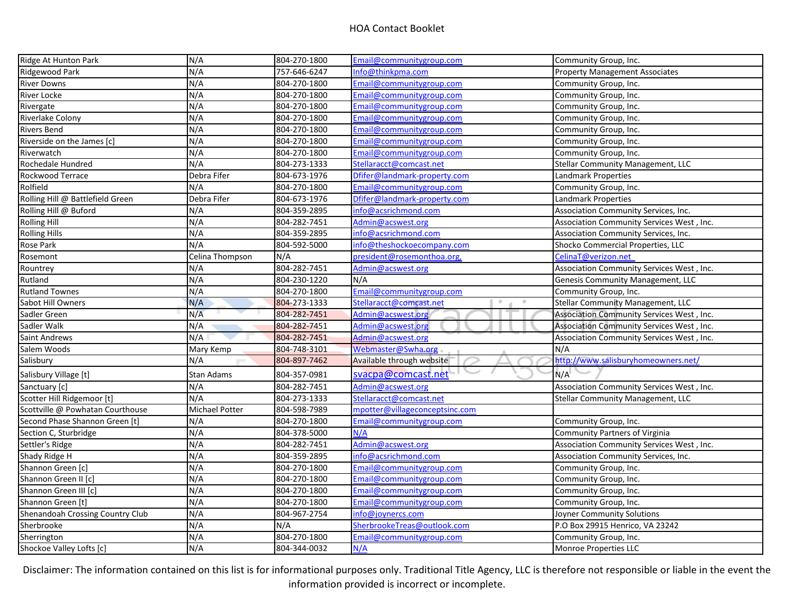| Ridge At Hunton Park             | N/A             | 804-270-1800 | Email@communitygroup.com       | Community Group, Inc.                     |
|----------------------------------|-----------------|--------------|--------------------------------|-------------------------------------------|
| Ridgewood Park                   | N/A             | 757-646-6247 | Info@thinkpma.com              | <b>Property Management Associates</b>     |
| <b>River Downs</b>               | N/A             | 804-270-1800 | Email@communitygroup.com       | Community Group, Inc.                     |
| <b>River Locke</b>               | N/A             | 804-270-1800 | Email@communitygroup.com       | Community Group, Inc.                     |
| Rivergate                        | N/A             | 804-270-1800 | Email@communitygroup.com       | Community Group, Inc.                     |
| <b>Riverlake Colony</b>          | N/A             | 804-270-1800 | Email@communitygroup.com       | Community Group, Inc.                     |
| <b>Rivers Bend</b>               | N/A             | 804-270-1800 | Email@communitygroup.com       | Community Group, Inc.                     |
| Riverside on the James [c]       | N/A             | 804-270-1800 | Email@communitygroup.com       | Community Group, Inc.                     |
| Riverwatch                       | N/A             | 804-270-1800 | Email@communitygroup.com       | Community Group, Inc.                     |
| Rochedale Hundred                | N/A             | 804-273-1333 | Stellaracct@comcast.net        | Stellar Community Management, LLC         |
| <b>Rockwood Terrace</b>          | Debra Fifer     | 804-673-1976 | Dfifer@landmark-property.com   | Landmark Properties                       |
| Rolfield                         | N/A             | 804-270-1800 | Email@communitygroup.com       | Community Group, Inc.                     |
| Rolling Hill @ Battlefield Green | Debra Fifer     | 804-673-1976 | Dfifer@landmark-property.com   | Landmark Properties                       |
| Rolling Hill @ Buford            | N/A             | 804-359-2895 | info@acsrichmond.com           | Association Community Services, Inc.      |
| <b>Rolling Hill</b>              | N/A             | 804-282-7451 | Admin@acswest.org              | Association Community Services West, Inc. |
| <b>Rolling Hills</b>             | N/A             | 804-359-2895 | info@acsrichmond.com           | Association Community Services, Inc.      |
| Rose Park                        | N/A             | 804-592-5000 | info@theshockoecompany.com     | Shocko Commercial Properties, LLC         |
| Rosemont                         | Celina Thompson | N/A          | president@rosemonthoa.org,     | CelinaT@verizon.net                       |
| Rountrey                         | N/A             | 804-282-7451 | Admin@acswest.org              | Association Community Services West, Inc. |
| Rutland                          | N/A             | 804-230-1220 | N/A                            | Genesis Community Management, LLC         |
| <b>Rutland Townes</b>            | N/A             | 804-270-1800 | Email@communitygroup.com       | Community Group, Inc.                     |
| Sabot Hill Owners                | N/A             | 804-273-1333 | Stellaracct@comcast.net<br>÷.  | <b>Stellar Community Management, LLC</b>  |
| Sadler Green                     | N/A             | 804-282-7451 | Admin@acswest.org              | Association Community Services West, Inc. |
| Sadler Walk                      | N/A             | 804-282-7451 | Admin@acswest.org              | Association Community Services West, Inc. |
| Saint Andrews                    | N/A             | 804-282-7451 | Admin@acswest.org              | Association Community Services West, Inc. |
| Salem Woods                      | Mary Kemp       | 804-748-3101 | Webmaster@Swha.org             | N/A                                       |
| Salisbury                        | N/A             | 804-897-7462 | Available through website      | http://www.salisburyhomeowners.net/       |
| Salisbury Village [t]            | Stan Adams      | 804-357-0981 | svacpa@comcast.net             | N/A                                       |
| Sanctuary [c]                    | N/A             | 804-282-7451 | Admin@acswest.org              | Association Community Services West, Inc. |
| Scotter Hill Ridgemoor [t]       | N/A             | 804-273-1333 | Stellaracct@comcast.net        | Stellar Community Management, LLC         |
| Scottville @ Powhatan Courthouse | Michael Potter  | 804-598-7989 | mpotter@villageconceptsinc.com |                                           |
| Second Phase Shannon Green [t]   | N/A             | 804-270-1800 | Email@communitygroup.com       | Community Group, Inc.                     |
| Section C, Sturbridge            | N/A             | 804-378-5000 | N/A                            | <b>Community Partners of Virginia</b>     |
| Settler's Ridge                  | N/A             | 804-282-7451 | Admin@acswest.org              | Association Community Services West, Inc. |
| Shady Ridge H                    | N/A             | 804-359-2895 | info@acsrichmond.com           | Association Community Services, Inc.      |
| Shannon Green [c]                | N/A             | 804-270-1800 | Email@communitygroup.com       | Community Group, Inc.                     |
| Shannon Green II [c]             | N/A             | 804-270-1800 | Email@communitygroup.com       | Community Group, Inc.                     |
| Shannon Green III [c]            | N/A             | 804-270-1800 | Email@communitygroup.com       | Community Group, Inc.                     |
| Shannon Green [t]                | N/A             | 804-270-1800 | Email@communitygroup.com       | Community Group, Inc.                     |
| Shenandoah Crossing Country Club | N/A             | 804-967-2754 | info@joynercs.com              | Joyner Community Solutions                |
| Sherbrooke                       | N/A             | N/A          | SherbrookeTreas@outlook.com    | P.O Box 29915 Henrico, VA 23242           |
| Sherrington                      | N/A             | 804-270-1800 | Email@communitygroup.com       | Community Group, Inc.                     |
| Shockoe Valley Lofts [c]         | N/A             | 804-344-0032 | N/A                            | <b>Monroe Properties LLC</b>              |
|                                  |                 |              |                                |                                           |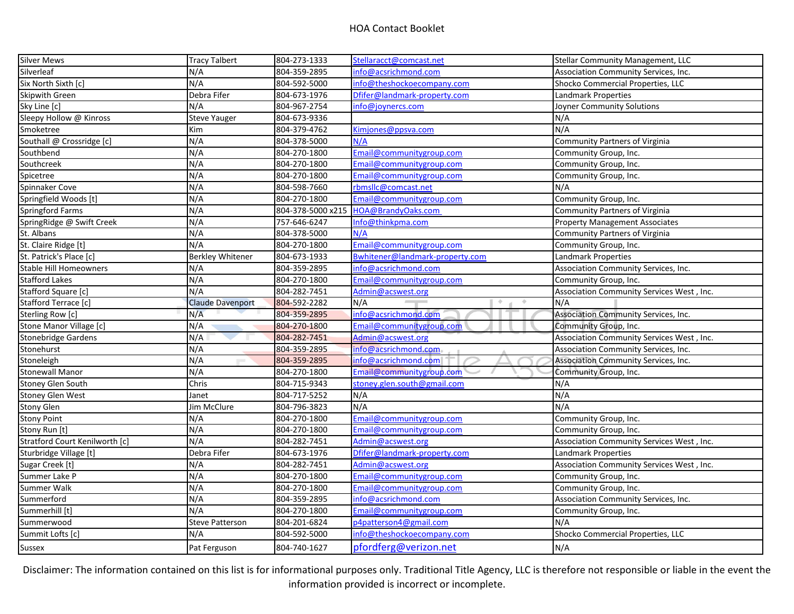| <b>Silver Mews</b>             | <b>Tracy Talbert</b>    | 804-273-1333      | Stellaracct@comcast.net         | <b>Stellar Community Management, LLC</b>  |
|--------------------------------|-------------------------|-------------------|---------------------------------|-------------------------------------------|
| Silverleaf                     | N/A                     | 804-359-2895      | info@acsrichmond.com            | Association Community Services, Inc.      |
| Six North Sixth [c]            | N/A                     | 804-592-5000      | info@theshockoecompany.com      | Shocko Commercial Properties, LLC         |
| <b>Skipwith Green</b>          | Debra Fifer             | 804-673-1976      | Dfifer@landmark-property.com    | Landmark Properties                       |
| Sky Line [c]                   | N/A                     | 804-967-2754      | info@joynercs.com               | Joyner Community Solutions                |
| Sleepy Hollow @ Kinross        | <b>Steve Yauger</b>     | 804-673-9336      |                                 | N/A                                       |
| Smoketree                      | Kim                     | 804-379-4762      | Kimjones@ppsva.com              | N/A                                       |
| Southall @ Crossridge [c]      | N/A                     | 804-378-5000      | N/A                             | Community Partners of Virginia            |
| Southbend                      | N/A                     | 804-270-1800      | Email@communitygroup.com        | Community Group, Inc.                     |
| Southcreek                     | N/A                     | 804-270-1800      | Email@communitygroup.com        | Community Group, Inc.                     |
| Spicetree                      | N/A                     | 804-270-1800      | Email@communitygroup.com        | Community Group, Inc.                     |
| Spinnaker Cove                 | N/A                     | 804-598-7660      | rbmsllc@comcast.net             | N/A                                       |
| Springfield Woods [t]          | N/A                     | 804-270-1800      | Email@communitygroup.com        | Community Group, Inc.                     |
| Springford Farms               | N/A                     | 804-378-5000 x215 | HOA@BrandyOaks.com              | Community Partners of Virginia            |
| SpringRidge @ Swift Creek      | N/A                     | 757-646-6247      | Info@thinkpma.com               | <b>Property Management Associates</b>     |
| St. Albans                     | N/A                     | 804-378-5000      | N/A                             | <b>Community Partners of Virginia</b>     |
| St. Claire Ridge [t]           | N/A                     | 804-270-1800      | Email@communitygroup.com        | Community Group, Inc.                     |
| St. Patrick's Place [c]        | <b>Berkley Whitener</b> | 804-673-1933      | Bwhitener@landmark-property.com | Landmark Properties                       |
| <b>Stable Hill Homeowners</b>  | N/A                     | 804-359-2895      | info@acsrichmond.com            | Association Community Services, Inc.      |
| <b>Stafford Lakes</b>          | N/A                     | 804-270-1800      | Email@communitygroup.com        | Community Group, Inc.                     |
| Stafford Square [c]            | N/A                     | 804-282-7451      | Admin@acswest.org               | Association Community Services West, Inc. |
| Stafford Terrace [c]           | <b>Claude Davenport</b> | 804-592-2282      | N/A<br>$\overline{\phantom{a}}$ | N/A                                       |
| Sterling Row [c]               | N/A                     | 804-359-2895      | info@acsrichmond.com            | Association Community Services, Inc.      |
| Stone Manor Village [c]        | N/A                     | 804-270-1800      | Email@communitygroup.com        | Community Group, Inc.                     |
| <b>Stonebridge Gardens</b>     | N/A                     | 804-282-7451      | Admin@acswest.org               | Association Community Services West, Inc. |
| Stonehurst                     | N/A                     | 804-359-2895      | info@acsrichmond.com            | Association Community Services, Inc.      |
| Stoneleigh                     | N/A                     | 804-359-2895      | info@acsrichmond.com            | Association Community Services, Inc.      |
| <b>Stonewall Manor</b>         | N/A                     | 804-270-1800      | Email@communitygroup.com        | Community Group, Inc.                     |
| <b>Stoney Glen South</b>       | Chris                   | 804-715-9343      | stoney.glen.south@gmail.com     | N/A                                       |
| <b>Stoney Glen West</b>        | Janet                   | 804-717-5252      | N/A                             | N/A                                       |
| <b>Stony Glen</b>              | Jim McClure             | 804-796-3823      | N/A                             | N/A                                       |
| <b>Stony Point</b>             | N/A                     | 804-270-1800      | Email@communitygroup.com        | Community Group, Inc.                     |
| Stony Run [t]                  | N/A                     | 804-270-1800      | Email@communitygroup.com        | Community Group, Inc.                     |
| Stratford Court Kenilworth [c] | N/A                     | 804-282-7451      | Admin@acswest.org               | Association Community Services West, Inc. |
| Sturbridge Village [t]         | Debra Fifer             | 804-673-1976      | Dfifer@landmark-property.com    | Landmark Properties                       |
| Sugar Creek [t]                | N/A                     | 804-282-7451      | Admin@acswest.org               | Association Community Services West, Inc. |
| Summer Lake P                  | N/A                     | 804-270-1800      | Email@communitygroup.com        | Community Group, Inc.                     |
| Summer Walk                    | N/A                     | 804-270-1800      | Email@communitygroup.com        | Community Group, Inc.                     |
| Summerford                     | N/A                     | 804-359-2895      | info@acsrichmond.com            | Association Community Services, Inc.      |
| Summerhill [t]                 | N/A                     | 804-270-1800      | Email@communitygroup.com        | Community Group, Inc.                     |
| Summerwood                     | <b>Steve Patterson</b>  | 804-201-6824      | p4patterson4@gmail.com          | N/A                                       |
| Summit Lofts [c]               | N/A                     | 804-592-5000      | info@theshockoecompany.com      | Shocko Commercial Properties, LLC         |
| <b>Sussex</b>                  | Pat Ferguson            | 804-740-1627      | pfordferg@verizon.net           | N/A                                       |
|                                |                         |                   |                                 |                                           |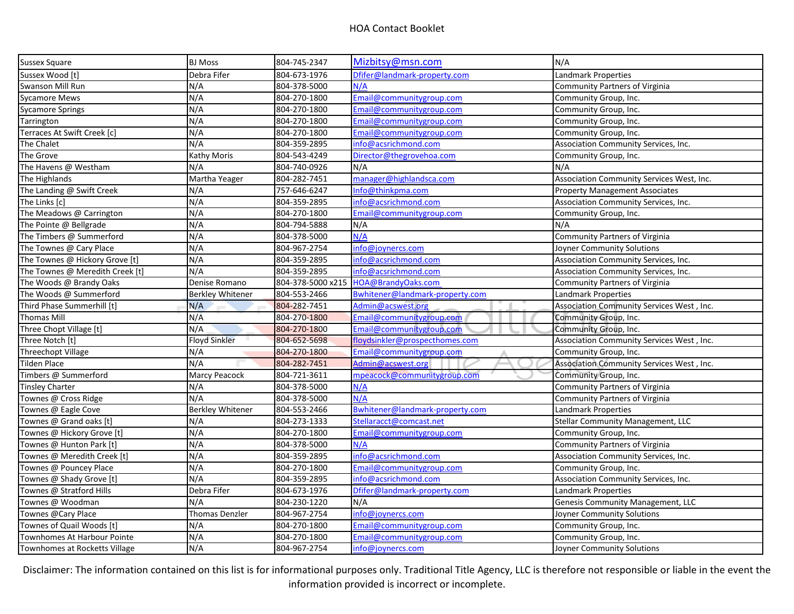| <b>Sussex Square</b>            | <b>BJ Moss</b>          | 804-745-2347      | Mizbitsy@msn.com                | N/A                                       |
|---------------------------------|-------------------------|-------------------|---------------------------------|-------------------------------------------|
| Sussex Wood [t]                 | Debra Fifer             | 804-673-1976      | Dfifer@landmark-property.com    | Landmark Properties                       |
| Swanson Mill Run                | N/A                     | 804-378-5000      | N/A                             | Community Partners of Virginia            |
| <b>Sycamore Mews</b>            | N/A                     | 804-270-1800      | Email@communitygroup.com        | Community Group, Inc.                     |
| <b>Sycamore Springs</b>         | N/A                     | 804-270-1800      | Email@communitygroup.com        | Community Group, Inc.                     |
| Tarrington                      | N/A                     | 804-270-1800      | Email@communitygroup.com        | Community Group, Inc.                     |
| Terraces At Swift Creek [c]     | N/A                     | 804-270-1800      | Email@communitygroup.com        | Community Group, Inc.                     |
| The Chalet                      | N/A                     | 804-359-2895      | info@acsrichmond.com            | Association Community Services, Inc.      |
| The Grove                       | Kathy Moris             | 804-543-4249      | Director@thegrovehoa.com        | Community Group, Inc.                     |
| The Havens @ Westham            | N/A                     | 804-740-0926      | N/A                             | N/A                                       |
| The Highlands                   | Martha Yeager           | 804-282-7451      | manager@highlandsca.com         | Association Community Services West, Inc. |
| The Landing @ Swift Creek       | N/A                     | 757-646-6247      | Info@thinkpma.com               | <b>Property Management Associates</b>     |
| The Links [c]                   | N/A                     | 804-359-2895      | info@acsrichmond.com            | Association Community Services, Inc.      |
| The Meadows @ Carrington        | N/A                     | 804-270-1800      | Email@communitygroup.com        | Community Group, Inc.                     |
| The Pointe @ Bellgrade          | N/A                     | 804-794-5888      | N/A                             | N/A                                       |
| The Timbers @ Summerford        | N/A                     | 804-378-5000      | N/A                             | <b>Community Partners of Virginia</b>     |
| The Townes @ Cary Place         | N/A                     | 804-967-2754      | info@joynercs.com               | Joyner Community Solutions                |
| The Townes @ Hickory Grove [t]  | N/A                     | 804-359-2895      | info@acsrichmond.com            | Association Community Services, Inc.      |
| The Townes @ Meredith Creek [t] | N/A                     | 804-359-2895      | info@acsrichmond.com            | Association Community Services, Inc.      |
| The Woods @ Brandy Oaks         | Denise Romano           | 804-378-5000 x215 | HOA@BrandyOaks.com              | Community Partners of Virginia            |
| The Woods @ Summerford          | <b>Berkley Whitener</b> | 804-553-2466      | Bwhitener@landmark-property.com | Landmark Properties                       |
| Third Phase Summerhill [t]      | N/A                     | 804-282-7451      | Admin@acswest.org               | Association Community Services West, Inc. |
| <b>Thomas Mill</b>              | N/A                     | 804-270-1800      | Email@communitygroup.com        | Community Group, Inc.                     |
| Three Chopt Village [t]         | N/A                     | 804-270-1800      | Email@communitygroup.com        | Community Group, Inc.                     |
| Three Notch [t]                 | <b>Floyd Sinkler</b>    | 804-652-5698      | floydsinkler@prospecthomes.com  | Association Community Services West, Inc. |
| Threechopt Village              | N/A                     | 804-270-1800      | Email@communitygroup.com        | Community Group, Inc.                     |
| <b>Tilden Place</b>             | N/A                     | 804-282-7451      | Admin@acswest.org               | Association Community Services West, Inc. |
| Timbers @ Summerford            | Marcy Peacock           | 804-721-3611      | mpeacock@communitygroup.com     | Community Group, Inc.                     |
| <b>Tinsley Charter</b>          | N/A                     | 804-378-5000      | N/A                             | <b>Community Partners of Virginia</b>     |
| Townes @ Cross Ridge            | N/A                     | 804-378-5000      | N/A                             | Community Partners of Virginia            |
| Townes @ Eagle Cove             | <b>Berkley Whitener</b> | 804-553-2466      | Bwhitener@landmark-property.com | Landmark Properties                       |
| Townes @ Grand oaks [t]         | N/A                     | 804-273-1333      | Stellaracct@comcast.net         | Stellar Community Management, LLC         |
| Townes @ Hickory Grove [t]      | N/A                     | 804-270-1800      | Email@communitygroup.com        | Community Group, Inc.                     |
| Townes @ Hunton Park [t]        | N/A                     | 804-378-5000      | N/A                             | Community Partners of Virginia            |
| Townes @ Meredith Creek [t]     | N/A                     | 804-359-2895      | info@acsrichmond.com            | Association Community Services, Inc.      |
| Townes @ Pouncey Place          | N/A                     | 804-270-1800      | Email@communitygroup.com        | Community Group, Inc.                     |
| Townes @ Shady Grove [t]        | N/A                     | 804-359-2895      | info@acsrichmond.com            | Association Community Services, Inc.      |
| Townes @ Stratford Hills        | Debra Fifer             | 804-673-1976      | Dfifer@landmark-property.com    | Landmark Properties                       |
| Townes @ Woodman                | N/A                     | 804-230-1220      | N/A                             | Genesis Community Management, LLC         |
| Townes @Cary Place              | <b>Thomas Denzler</b>   | 804-967-2754      | info@joynercs.com               | Joyner Community Solutions                |
| Townes of Quail Woods [t]       | N/A                     | 804-270-1800      | Email@communitygroup.com        | Community Group, Inc.                     |
| Townhomes At Harbour Pointe     | N/A                     | 804-270-1800      | Email@communitygroup.com        | Community Group, Inc.                     |
| Townhomes at Rocketts Village   | N/A                     | 804-967-2754      | info@joynercs.com               | Joyner Community Solutions                |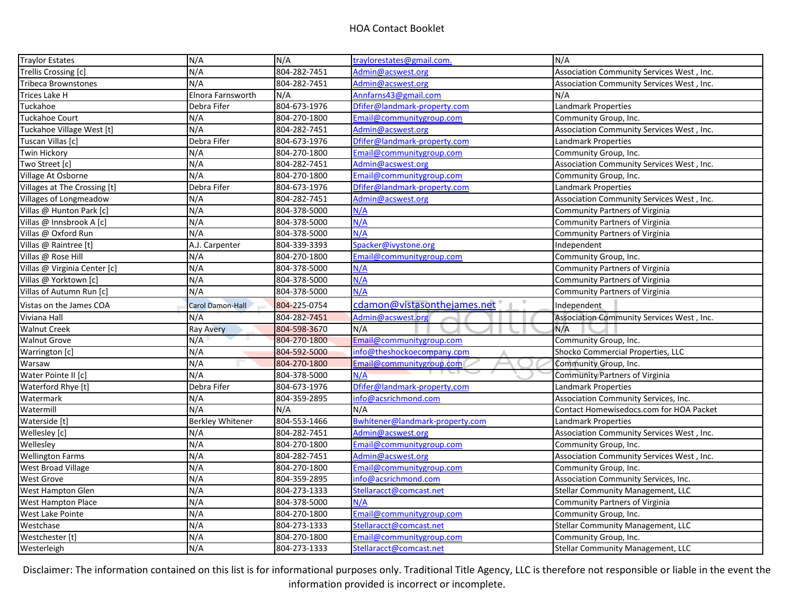| <b>Traylor Estates</b>       | N/A                     | N/A          | traylorestates@gmail.com.       | N/A                                       |
|------------------------------|-------------------------|--------------|---------------------------------|-------------------------------------------|
| Trellis Crossing [c]         | N/A                     | 804-282-7451 | Admin@acswest.org               | Association Community Services West, Inc. |
| Tribeca Brownstones          | N/A                     | 804-282-7451 | Admin@acswest.org               | Association Community Services West, Inc. |
| Trices Lake H                | Elnora Farnsworth       | N/A          | Annfarns43@gmail.com            | N/A                                       |
| Tuckahoe                     | Debra Fifer             | 804-673-1976 | Dfifer@landmark-property.com    | Landmark Properties                       |
| <b>Tuckahoe Court</b>        | N/A                     | 804-270-1800 | Email@communitygroup.com        | Community Group, Inc.                     |
| Tuckahoe Village West [t]    | N/A                     | 804-282-7451 | Admin@acswest.org               | Association Community Services West, Inc. |
| Tuscan Villas [c]            | Debra Fifer             | 804-673-1976 | Dfifer@landmark-property.com    | Landmark Properties                       |
| <b>Twin Hickory</b>          | N/A                     | 804-270-1800 | Email@communitygroup.com        | Community Group, Inc.                     |
| Two Street [c]               | N/A                     | 804-282-7451 | Admin@acswest.org               | Association Community Services West, Inc. |
| Village At Osborne           | N/A                     | 804-270-1800 | Email@communitygroup.com        | Community Group, Inc.                     |
| Villages at The Crossing [t] | Debra Fifer             | 804-673-1976 | Dfifer@landmark-property.com    | Landmark Properties                       |
| Villages of Longmeadow       | N/A                     | 804-282-7451 | Admin@acswest.org               | Association Community Services West, Inc. |
| Villas @ Hunton Park [c]     | N/A                     | 804-378-5000 | N/A                             | <b>Community Partners of Virginia</b>     |
| Villas @ Innsbrook A [c]     | N/A                     | 804-378-5000 | N/A                             | Community Partners of Virginia            |
| Villas @ Oxford Run          | N/A                     | 804-378-5000 | N/A                             | Community Partners of Virginia            |
| Villas @ Raintree [t]        | A.J. Carpenter          | 804-339-3393 | Spacker@ivystone.org            | Independent                               |
| Villas @ Rose Hill           | N/A                     | 804-270-1800 | Email@communitygroup.com        | Community Group, Inc.                     |
| Villas @ Virginia Center [c] | N/A                     | 804-378-5000 | N/A                             | Community Partners of Virginia            |
| Villas @ Yorktown [c]        | N/A                     | 804-378-5000 | N/A                             | Community Partners of Virginia            |
| Villas of Autumn Run [c]     | N/A                     | 804-378-5000 | N/A                             | Community Partners of Virginia            |
| Vistas on the James COA      | Carol Damon-Hall        | 804-225-0754 | cdamon@vistasonthejames.net     | Independent                               |
| Viviana Hall                 | N/A                     | 804-282-7451 | Admin@acswest.org               | Association Community Services West, Inc. |
| <b>Walnut Creek</b>          | <b>Ray Avery</b>        | 804-598-3670 | N/A                             | N/A                                       |
| <b>Walnut Grove</b>          | N/A                     | 804-270-1800 | Email@communitygroup.com        | Community Group, Inc.                     |
| Warrington [c]               | N/A                     | 804-592-5000 | info@theshockoecompany.com      | Shocko Commercial Properties, LLC         |
| Warsaw                       | N/A                     | 804-270-1800 | Email@communitygroup.com        | Community Group, Inc.                     |
| Water Pointe II [c]          | N/A                     | 804-378-5000 | N/A                             | Community Partners of Virginia            |
| Waterford Rhye [t]           | Debra Fifer             | 804-673-1976 | Dfifer@landmark-property.com    | Landmark Properties                       |
| Watermark                    | N/A                     | 804-359-2895 | info@acsrichmond.com            | Association Community Services, Inc.      |
| Watermill                    | N/A                     | N/A          | N/A                             | Contact Homewisedocs.com for HOA Packet   |
| Waterside [t]                | <b>Berkley Whitener</b> | 804-553-1466 | Bwhitener@landmark-property.com | <b>Landmark Properties</b>                |
| Wellesley [c]                | N/A                     | 804-282-7451 | Admin@acswest.org               | Association Community Services West, Inc. |
| Wellesley                    | N/A                     | 804-270-1800 | Email@communitygroup.com        | Community Group, Inc.                     |
| <b>Wellington Farms</b>      | N/A                     | 804-282-7451 | Admin@acswest.org               | Association Community Services West, Inc. |
| <b>West Broad Village</b>    | N/A                     | 804-270-1800 | Email@communitygroup.com        | Community Group, Inc.                     |
| <b>West Grove</b>            | N/A                     | 804-359-2895 | info@acsrichmond.com            | Association Community Services, Inc.      |
| West Hampton Glen            | N/A                     | 804-273-1333 | Stellaracct@comcast.net         | <b>Stellar Community Management, LLC</b>  |
| West Hampton Place           | N/A                     | 804-378-5000 | N/A                             | <b>Community Partners of Virginia</b>     |
| West Lake Pointe             | N/A                     | 804-270-1800 | Email@communitygroup.com        | Community Group, Inc.                     |
| Westchase                    | N/A                     | 804-273-1333 | Stellaracct@comcast.net         | <b>Stellar Community Management, LLC</b>  |
| Westchester [t]              | N/A                     | 804-270-1800 | Email@communitygroup.com        | Community Group, Inc.                     |
| Westerleigh                  | N/A                     | 804-273-1333 | Stellaracct@comcast.net         | <b>Stellar Community Management, LLC</b>  |